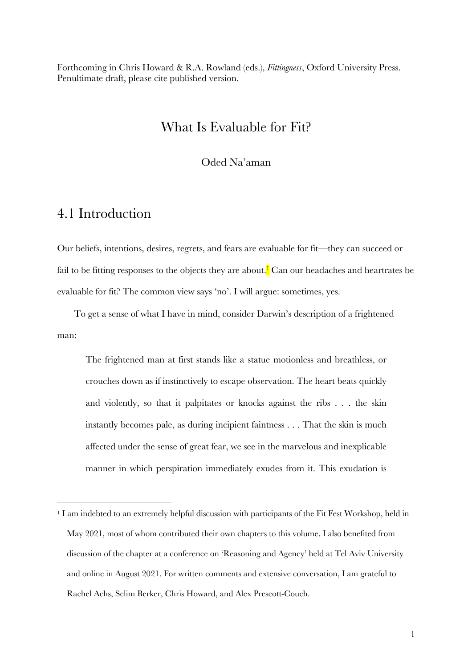Forthcoming in Chris Howard & R.A. Rowland (eds.), *Fittingness*, Oxford University Press. Penultimate draft, please cite published version.

## What Is Evaluable for Fit?

Oded Na'aman

## 4.1 Introduction

Our beliefs, intentions, desires, regrets, and fears are evaluable for fit—they can succeed or fail to be fitting responses to the objects they are about.<sup>1</sup> Can our headaches and heartrates be evaluable for fit? The common view says 'no'. I will argue: sometimes, yes.

To get a sense of what I have in mind, consider Darwin's description of a frightened man:

The frightened man at first stands like a statue motionless and breathless, or crouches down as if instinctively to escape observation. The heart beats quickly and violently, so that it palpitates or knocks against the ribs . . . the skin instantly becomes pale, as during incipient faintness . . . That the skin is much affected under the sense of great fear, we see in the marvelous and inexplicable manner in which perspiration immediately exudes from it. This exudation is

<sup>1</sup> I am indebted to an extremely helpful discussion with participants of the Fit Fest Workshop, held in May 2021, most of whom contributed their own chapters to this volume. I also benefited from discussion of the chapter at a conference on 'Reasoning and Agency' held at Tel Aviv University and online in August 2021. For written comments and extensive conversation, I am grateful to Rachel Achs, Selim Berker, Chris Howard, and Alex Prescott-Couch.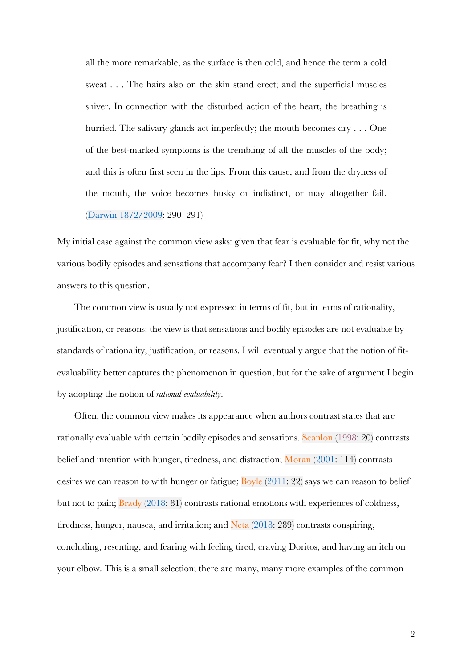all the more remarkable, as the surface is then cold, and hence the term a cold sweat . . . The hairs also on the skin stand erect; and the superficial muscles shiver. In connection with the disturbed action of the heart, the breathing is hurried. The salivary glands act imperfectly; the mouth becomes dry . . . One of the best-marked symptoms is the trembling of all the muscles of the body; and this is often first seen in the lips. From this cause, and from the dryness of the mouth, the voice becomes husky or indistinct, or may altogether fail. (Darwin 1872/2009: 290–291)

My initial case against the common view asks: given that fear is evaluable for fit, why not the various bodily episodes and sensations that accompany fear? I then consider and resist various answers to this question.

The common view is usually not expressed in terms of fit, but in terms of rationality, justification, or reasons: the view is that sensations and bodily episodes are not evaluable by standards of rationality, justification, or reasons. I will eventually argue that the notion of fitevaluability better captures the phenomenon in question, but for the sake of argument I begin by adopting the notion of *rational evaluability*.

Often, the common view makes its appearance when authors contrast states that are rationally evaluable with certain bodily episodes and sensations. Scanlon (1998: 20) contrasts belief and intention with hunger, tiredness, and distraction; Moran (2001: 114) contrasts desires we can reason to with hunger or fatigue;  $Bovle (2011: 22)$  says we can reason to belief but not to pain; Brady (2018: 81) contrasts rational emotions with experiences of coldness, tiredness, hunger, nausea, and irritation; and Neta (2018: 289) contrasts conspiring, concluding, resenting, and fearing with feeling tired, craving Doritos, and having an itch on your elbow. This is a small selection; there are many, many more examples of the common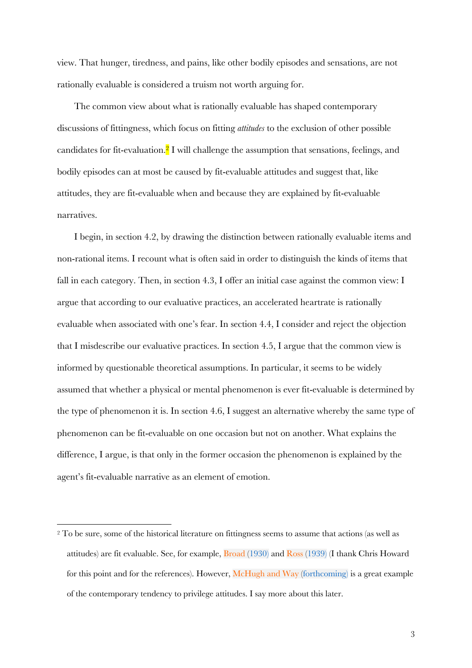view. That hunger, tiredness, and pains, like other bodily episodes and sensations, are not rationally evaluable is considered a truism not worth arguing for.

The common view about what is rationally evaluable has shaped contemporary discussions of fittingness, which focus on fitting *attitudes* to the exclusion of other possible candidates for fit-evaluation.2 I will challenge the assumption that sensations, feelings, and bodily episodes can at most be caused by fit-evaluable attitudes and suggest that, like attitudes, they are fit-evaluable when and because they are explained by fit-evaluable narratives.

I begin, in section 4.2, by drawing the distinction between rationally evaluable items and non-rational items. I recount what is often said in order to distinguish the kinds of items that fall in each category. Then, in section 4.3, I offer an initial case against the common view: I argue that according to our evaluative practices, an accelerated heartrate is rationally evaluable when associated with one's fear. In section 4.4, I consider and reject the objection that I misdescribe our evaluative practices. In section 4.5, I argue that the common view is informed by questionable theoretical assumptions. In particular, it seems to be widely assumed that whether a physical or mental phenomenon is ever fit-evaluable is determined by the type of phenomenon it is. In section 4.6, I suggest an alternative whereby the same type of phenomenon can be fit-evaluable on one occasion but not on another. What explains the difference, I argue, is that only in the former occasion the phenomenon is explained by the agent's fit-evaluable narrative as an element of emotion.

<sup>2</sup> To be sure, some of the historical literature on fittingness seems to assume that actions (as well as attitudes) are fit evaluable. See, for example, Broad (1930) and Ross (1939) (I thank Chris Howard for this point and for the references). However, McHugh and Way (forthcoming) is a great example of the contemporary tendency to privilege attitudes. I say more about this later.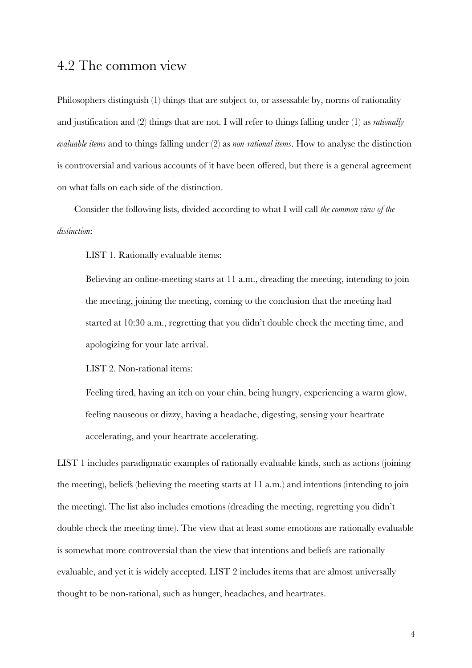### 4.2 The common view

Philosophers distinguish (1) things that are subject to, or assessable by, norms of rationality and justification and (2) things that are not. I will refer to things falling under (1) as *rationally evaluable items* and to things falling under (2) as *non-rational items*. How to analyse the distinction is controversial and various accounts of it have been offered, but there is a general agreement on what falls on each side of the distinction.

Consider the following lists, divided according to what I will call *the common view of the distinction*:

LIST 1. Rationally evaluable items:

Believing an online-meeting starts at 11 a.m., dreading the meeting, intending to join the meeting, joining the meeting, coming to the conclusion that the meeting had started at 10:30 a.m., regretting that you didn't double check the meeting time, and apologizing for your late arrival.

LIST 2. Non-rational items:

Feeling tired, having an itch on your chin, being hungry, experiencing a warm glow, feeling nauseous or dizzy, having a headache, digesting, sensing your heartrate accelerating, and your heartrate accelerating.

LIST 1 includes paradigmatic examples of rationally evaluable kinds, such as actions (joining the meeting), beliefs (believing the meeting starts at 11 a.m.) and intentions (intending to join the meeting). The list also includes emotions (dreading the meeting, regretting you didn't double check the meeting time). The view that at least some emotions are rationally evaluable is somewhat more controversial than the view that intentions and beliefs are rationally evaluable, and yet it is widely accepted. LIST 2 includes items that are almost universally thought to be non-rational, such as hunger, headaches, and heartrates.

4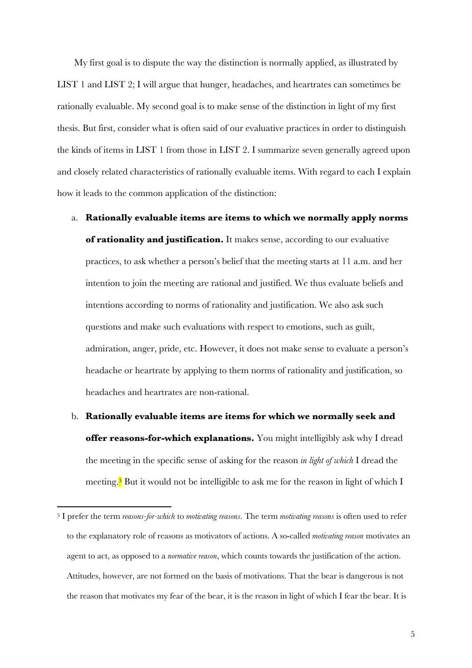My first goal is to dispute the way the distinction is normally applied, as illustrated by LIST 1 and LIST 2; I will argue that hunger, headaches, and heartrates can sometimes be rationally evaluable. My second goal is to make sense of the distinction in light of my first thesis. But first, consider what is often said of our evaluative practices in order to distinguish the kinds of items in LIST 1 from those in LIST 2. I summarize seven generally agreed upon and closely related characteristics of rationally evaluable items. With regard to each I explain how it leads to the common application of the distinction:

- a. **Rationally evaluable items are items to which we normally apply norms of rationality and justification.** It makes sense, according to our evaluative practices, to ask whether a person's belief that the meeting starts at 11 a.m. and her intention to join the meeting are rational and justified. We thus evaluate beliefs and intentions according to norms of rationality and justification. We also ask such questions and make such evaluations with respect to emotions, such as guilt, admiration, anger, pride, etc. However, it does not make sense to evaluate a person's headache or heartrate by applying to them norms of rationality and justification, so headaches and heartrates are non-rational.
- b. **Rationally evaluable items are items for which we normally seek and offer reasons-for-which explanations.** You might intelligibly ask why I dread the meeting in the specific sense of asking for the reason *in light of which* I dread the meeting.<sup>3</sup> But it would not be intelligible to ask me for the reason in light of which I

<sup>3</sup> I prefer the term *reasons-for-which* to *motivating reasons*. The term *motivating reasons* is often used to refer to the explanatory role of reasons as motivators of actions. A so-called *motivating reason* motivates an agent to act, as opposed to a *normative reason*, which counts towards the justification of the action. Attitudes, however, are not formed on the basis of motivations. That the bear is dangerous is not the reason that motivates my fear of the bear, it is the reason in light of which I fear the bear. It is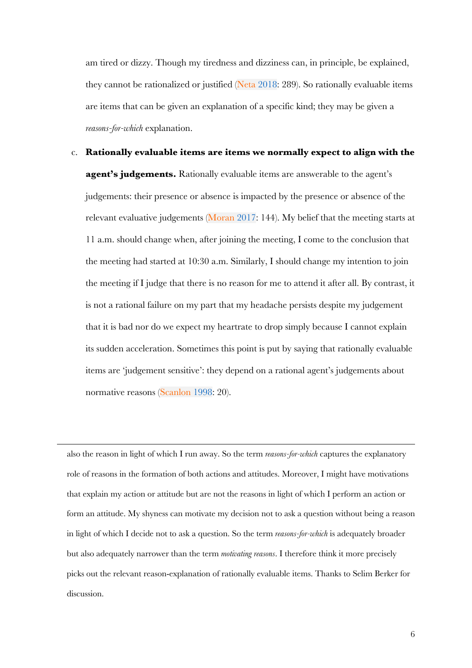am tired or dizzy. Though my tiredness and dizziness can, in principle, be explained, they cannot be rationalized or justified (Neta 2018: 289). So rationally evaluable items are items that can be given an explanation of a specific kind; they may be given a *reasons-for-which* explanation.

c. **Rationally evaluable items are items we normally expect to align with the agent's judgements.** Rationally evaluable items are answerable to the agent's judgements: their presence or absence is impacted by the presence or absence of the relevant evaluative judgements (Moran 2017: 144). My belief that the meeting starts at 11 a.m. should change when, after joining the meeting, I come to the conclusion that the meeting had started at 10:30 a.m. Similarly, I should change my intention to join the meeting if I judge that there is no reason for me to attend it after all. By contrast, it is not a rational failure on my part that my headache persists despite my judgement that it is bad nor do we expect my heartrate to drop simply because I cannot explain its sudden acceleration. Sometimes this point is put by saying that rationally evaluable items are 'judgement sensitive': they depend on a rational agent's judgements about normative reasons (Scanlon 1998: 20).

also the reason in light of which I run away. So the term *reasons-for-which* captures the explanatory role of reasons in the formation of both actions and attitudes. Moreover, I might have motivations that explain my action or attitude but are not the reasons in light of which I perform an action or form an attitude. My shyness can motivate my decision not to ask a question without being a reason in light of which I decide not to ask a question. So the term *reasons-for-which* is adequately broader but also adequately narrower than the term *motivating reasons*. I therefore think it more precisely picks out the relevant reason-explanation of rationally evaluable items. Thanks to Selim Berker for discussion.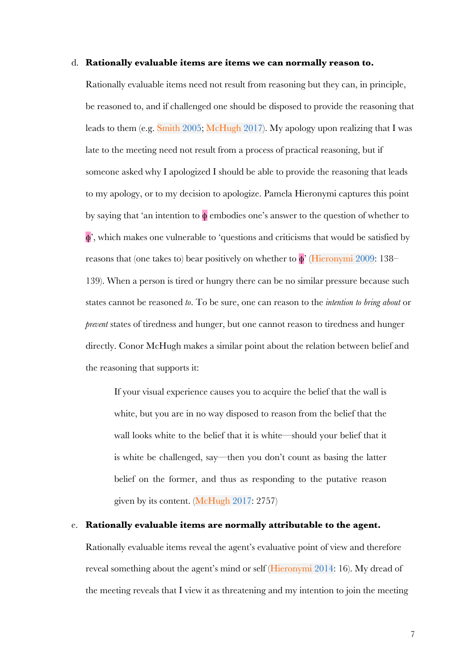#### d. **Rationally evaluable items are items we can normally reason to.**

Rationally evaluable items need not result from reasoning but they can, in principle, be reasoned to, and if challenged one should be disposed to provide the reasoning that leads to them (e.g. Smith 2005; McHugh 2017). My apology upon realizing that I was late to the meeting need not result from a process of practical reasoning, but if someone asked why I apologized I should be able to provide the reasoning that leads to my apology, or to my decision to apologize. Pamela Hieronymi captures this point by saying that 'an intention to  $\phi$  embodies one's answer to the question of whether to φ', which makes one vulnerable to 'questions and criticisms that would be satisfied by reasons that (one takes to) bear positively on whether to  $\phi$ <sup>'</sup> (Hieronymi 2009: 138– 139). When a person is tired or hungry there can be no similar pressure because such states cannot be reasoned *to*. To be sure, one can reason to the *intention to bring about* or *prevent* states of tiredness and hunger, but one cannot reason to tiredness and hunger directly. Conor McHugh makes a similar point about the relation between belief and the reasoning that supports it:

If your visual experience causes you to acquire the belief that the wall is white, but you are in no way disposed to reason from the belief that the wall looks white to the belief that it is white—should your belief that it is white be challenged, say—then you don't count as basing the latter belief on the former, and thus as responding to the putative reason given by its content. (McHugh 2017: 2757)

### e. **Rationally evaluable items are normally attributable to the agent.**

Rationally evaluable items reveal the agent's evaluative point of view and therefore reveal something about the agent's mind or self (Hieronymi 2014: 16). My dread of the meeting reveals that I view it as threatening and my intention to join the meeting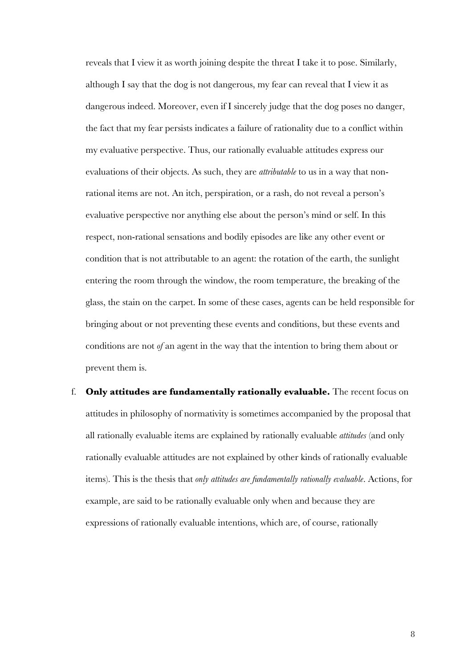reveals that I view it as worth joining despite the threat I take it to pose. Similarly, although I say that the dog is not dangerous, my fear can reveal that I view it as dangerous indeed. Moreover, even if I sincerely judge that the dog poses no danger, the fact that my fear persists indicates a failure of rationality due to a conflict within my evaluative perspective. Thus, our rationally evaluable attitudes express our evaluations of their objects. As such, they are *attributable* to us in a way that nonrational items are not. An itch, perspiration, or a rash, do not reveal a person's evaluative perspective nor anything else about the person's mind or self. In this respect, non-rational sensations and bodily episodes are like any other event or condition that is not attributable to an agent: the rotation of the earth, the sunlight entering the room through the window, the room temperature, the breaking of the glass, the stain on the carpet. In some of these cases, agents can be held responsible for bringing about or not preventing these events and conditions, but these events and conditions are not *of* an agent in the way that the intention to bring them about or prevent them is.

f. **Only attitudes are fundamentally rationally evaluable.** The recent focus on attitudes in philosophy of normativity is sometimes accompanied by the proposal that all rationally evaluable items are explained by rationally evaluable *attitudes* (and only rationally evaluable attitudes are not explained by other kinds of rationally evaluable items). This is the thesis that *only attitudes are fundamentally rationally evaluable*. Actions, for example, are said to be rationally evaluable only when and because they are expressions of rationally evaluable intentions, which are, of course, rationally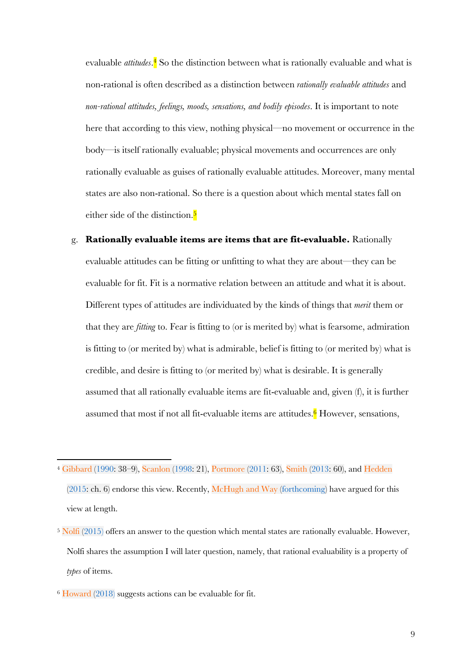evaluable *attitudes*.<sup>4</sup> So the distinction between what is rationally evaluable and what is non-rational is often described as a distinction between *rationally evaluable attitudes* and *non-rational attitudes, feelings, moods, sensations, and bodily episodes*. It is important to note here that according to this view, nothing physical—no movement or occurrence in the body—is itself rationally evaluable; physical movements and occurrences are only rationally evaluable as guises of rationally evaluable attitudes. Moreover, many mental states are also non-rational. So there is a question about which mental states fall on either side of the distinction.<sup>5</sup>

- g. **Rationally evaluable items are items that are fit-evaluable.** Rationally evaluable attitudes can be fitting or unfitting to what they are about—they can be evaluable for fit. Fit is a normative relation between an attitude and what it is about. Different types of attitudes are individuated by the kinds of things that *merit* them or that they are *fitting* to. Fear is fitting to (or is merited by) what is fearsome, admiration is fitting to (or merited by) what is admirable, belief is fitting to (or merited by) what is credible, and desire is fitting to (or merited by) what is desirable. It is generally assumed that all rationally evaluable items are fit-evaluable and, given (f), it is further assumed that most if not all fit-evaluable items are attitudes.<sup>6</sup> However, sensations,
- <sup>4</sup> Gibbard (1990: 38–9), Scanlon (1998: 21), Portmore (2011: 63), Smith (2013: 60), and Hedden  $(2015:$  ch. 6) endorse this view. Recently, McHugh and Way (forthcoming) have argued for this view at length.
- <sup>5</sup> Nolfi (2015) offers an answer to the question which mental states are rationally evaluable. However, Nolfi shares the assumption I will later question, namely, that rational evaluability is a property of *types* of items.
- <sup>6</sup> Howard (2018) suggests actions can be evaluable for fit.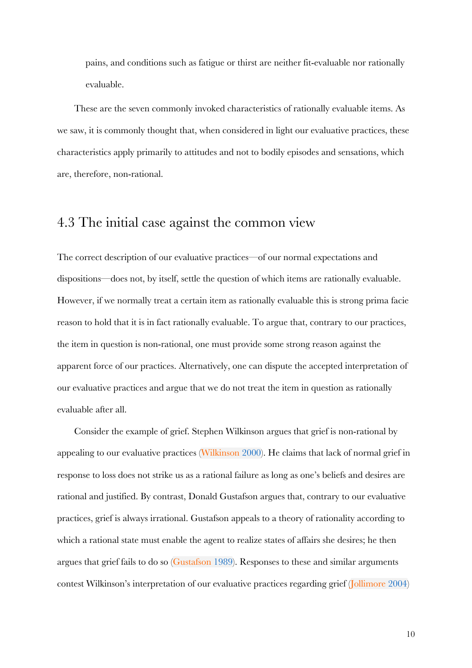pains, and conditions such as fatigue or thirst are neither fit-evaluable nor rationally evaluable.

These are the seven commonly invoked characteristics of rationally evaluable items. As we saw, it is commonly thought that, when considered in light our evaluative practices, these characteristics apply primarily to attitudes and not to bodily episodes and sensations, which are, therefore, non-rational.

# 4.3 The initial case against the common view

The correct description of our evaluative practices—of our normal expectations and dispositions—does not, by itself, settle the question of which items are rationally evaluable. However, if we normally treat a certain item as rationally evaluable this is strong prima facie reason to hold that it is in fact rationally evaluable. To argue that, contrary to our practices, the item in question is non-rational, one must provide some strong reason against the apparent force of our practices. Alternatively, one can dispute the accepted interpretation of our evaluative practices and argue that we do not treat the item in question as rationally evaluable after all.

Consider the example of grief. Stephen Wilkinson argues that grief is non-rational by appealing to our evaluative practices (Wilkinson 2000). He claims that lack of normal grief in response to loss does not strike us as a rational failure as long as one's beliefs and desires are rational and justified. By contrast, Donald Gustafson argues that, contrary to our evaluative practices, grief is always irrational. Gustafson appeals to a theory of rationality according to which a rational state must enable the agent to realize states of affairs she desires; he then argues that grief fails to do so (Gustafson 1989). Responses to these and similar arguments contest Wilkinson's interpretation of our evaluative practices regarding grief (Jollimore 2004)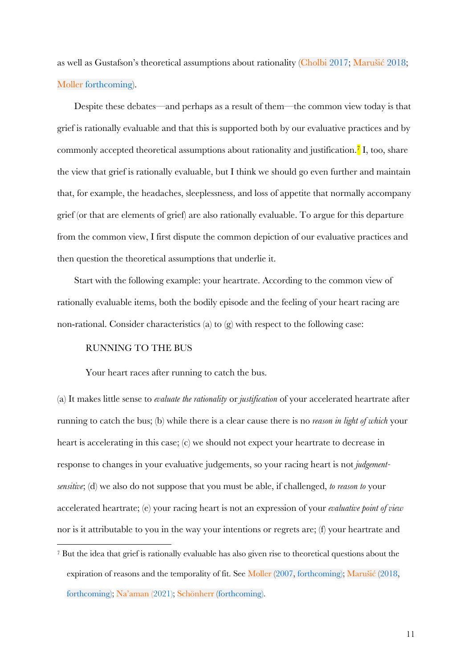as well as Gustafson's theoretical assumptions about rationality (Cholbi 2017; Marušić 2018; Moller forthcoming).

Despite these debates—and perhaps as a result of them—the common view today is that grief is rationally evaluable and that this is supported both by our evaluative practices and by commonly accepted theoretical assumptions about rationality and justification.<sup>7</sup> I, too, share the view that grief is rationally evaluable, but I think we should go even further and maintain that, for example, the headaches, sleeplessness, and loss of appetite that normally accompany grief (or that are elements of grief) are also rationally evaluable. To argue for this departure from the common view, I first dispute the common depiction of our evaluative practices and then question the theoretical assumptions that underlie it.

Start with the following example: your heartrate. According to the common view of rationally evaluable items, both the bodily episode and the feeling of your heart racing are non-rational. Consider characteristics (a) to  $(g)$  with respect to the following case:

#### RUNNING TO THE BUS

Your heart races after running to catch the bus.

(a) It makes little sense to *evaluate the rationality* or *justification* of your accelerated heartrate after running to catch the bus; (b) while there is a clear cause there is no *reason in light of which* your heart is accelerating in this case; (c) we should not expect your heartrate to decrease in response to changes in your evaluative judgements, so your racing heart is not *judgementsensitive*; (d) we also do not suppose that you must be able, if challenged, *to reason to* your accelerated heartrate; (e) your racing heart is not an expression of your *evaluative point of view* nor is it attributable to you in the way your intentions or regrets are; (f) your heartrate and

<sup>7</sup> But the idea that grief is rationally evaluable has also given rise to theoretical questions about the expiration of reasons and the temporality of fit. See Moller (2007, forthcoming); Marušić (2018, forthcoming); Na'aman (2021); Schönherr (forthcoming).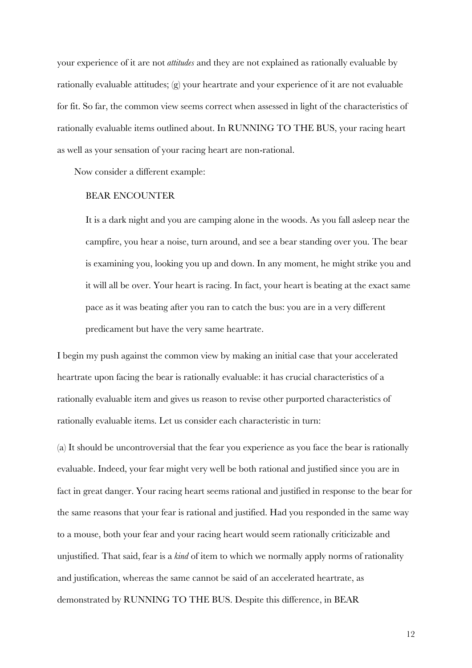your experience of it are not *attitudes* and they are not explained as rationally evaluable by rationally evaluable attitudes; (g) your heartrate and your experience of it are not evaluable for fit. So far, the common view seems correct when assessed in light of the characteristics of rationally evaluable items outlined about. In RUNNING TO THE BUS, your racing heart as well as your sensation of your racing heart are non-rational.

Now consider a different example:

#### BEAR ENCOUNTER

It is a dark night and you are camping alone in the woods. As you fall asleep near the campfire, you hear a noise, turn around, and see a bear standing over you. The bear is examining you, looking you up and down. In any moment, he might strike you and it will all be over. Your heart is racing. In fact, your heart is beating at the exact same pace as it was beating after you ran to catch the bus: you are in a very different predicament but have the very same heartrate.

I begin my push against the common view by making an initial case that your accelerated heartrate upon facing the bear is rationally evaluable: it has crucial characteristics of a rationally evaluable item and gives us reason to revise other purported characteristics of rationally evaluable items. Let us consider each characteristic in turn:

(a) It should be uncontroversial that the fear you experience as you face the bear is rationally evaluable. Indeed, your fear might very well be both rational and justified since you are in fact in great danger. Your racing heart seems rational and justified in response to the bear for the same reasons that your fear is rational and justified. Had you responded in the same way to a mouse, both your fear and your racing heart would seem rationally criticizable and unjustified. That said, fear is a *kind* of item to which we normally apply norms of rationality and justification, whereas the same cannot be said of an accelerated heartrate, as demonstrated by RUNNING TO THE BUS. Despite this difference, in BEAR

12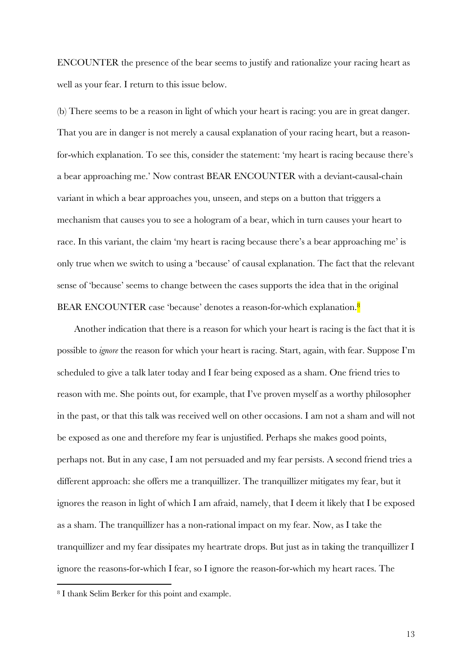ENCOUNTER the presence of the bear seems to justify and rationalize your racing heart as well as your fear. I return to this issue below.

(b) There seems to be a reason in light of which your heart is racing: you are in great danger. That you are in danger is not merely a causal explanation of your racing heart, but a reasonfor-which explanation. To see this, consider the statement: 'my heart is racing because there's a bear approaching me.' Now contrast BEAR ENCOUNTER with a deviant-causal-chain variant in which a bear approaches you, unseen, and steps on a button that triggers a mechanism that causes you to see a hologram of a bear, which in turn causes your heart to race. In this variant, the claim 'my heart is racing because there's a bear approaching me' is only true when we switch to using a 'because' of causal explanation. The fact that the relevant sense of 'because' seems to change between the cases supports the idea that in the original BEAR ENCOUNTER case 'because' denotes a reason-for-which explanation.<sup>8</sup>

Another indication that there is a reason for which your heart is racing is the fact that it is possible to *ignore* the reason for which your heart is racing. Start, again, with fear. Suppose I'm scheduled to give a talk later today and I fear being exposed as a sham. One friend tries to reason with me. She points out, for example, that I've proven myself as a worthy philosopher in the past, or that this talk was received well on other occasions. I am not a sham and will not be exposed as one and therefore my fear is unjustified. Perhaps she makes good points, perhaps not. But in any case, I am not persuaded and my fear persists. A second friend tries a different approach: she offers me a tranquillizer. The tranquillizer mitigates my fear, but it ignores the reason in light of which I am afraid, namely, that I deem it likely that I be exposed as a sham. The tranquillizer has a non-rational impact on my fear. Now, as I take the tranquillizer and my fear dissipates my heartrate drops. But just as in taking the tranquillizer I ignore the reasons-for-which I fear, so I ignore the reason-for-which my heart races. The

<sup>8</sup> I thank Selim Berker for this point and example.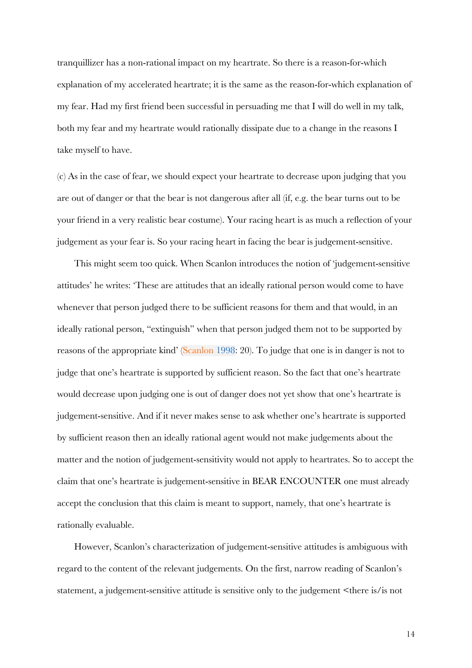tranquillizer has a non-rational impact on my heartrate. So there is a reason-for-which explanation of my accelerated heartrate; it is the same as the reason-for-which explanation of my fear. Had my first friend been successful in persuading me that I will do well in my talk, both my fear and my heartrate would rationally dissipate due to a change in the reasons I take myself to have.

(c) As in the case of fear, we should expect your heartrate to decrease upon judging that you are out of danger or that the bear is not dangerous after all (if, e.g. the bear turns out to be your friend in a very realistic bear costume). Your racing heart is as much a reflection of your judgement as your fear is. So your racing heart in facing the bear is judgement-sensitive.

This might seem too quick. When Scanlon introduces the notion of 'judgement-sensitive attitudes' he writes: 'These are attitudes that an ideally rational person would come to have whenever that person judged there to be sufficient reasons for them and that would, in an ideally rational person, "extinguish" when that person judged them not to be supported by reasons of the appropriate kind' (Scanlon 1998: 20). To judge that one is in danger is not to judge that one's heartrate is supported by sufficient reason. So the fact that one's heartrate would decrease upon judging one is out of danger does not yet show that one's heartrate is judgement-sensitive. And if it never makes sense to ask whether one's heartrate is supported by sufficient reason then an ideally rational agent would not make judgements about the matter and the notion of judgement-sensitivity would not apply to heartrates. So to accept the claim that one's heartrate is judgement-sensitive in BEAR ENCOUNTER one must already accept the conclusion that this claim is meant to support, namely, that one's heartrate is rationally evaluable.

However, Scanlon's characterization of judgement-sensitive attitudes is ambiguous with regard to the content of the relevant judgements. On the first, narrow reading of Scanlon's statement, a judgement-sensitive attitude is sensitive only to the judgement <there is/is not

14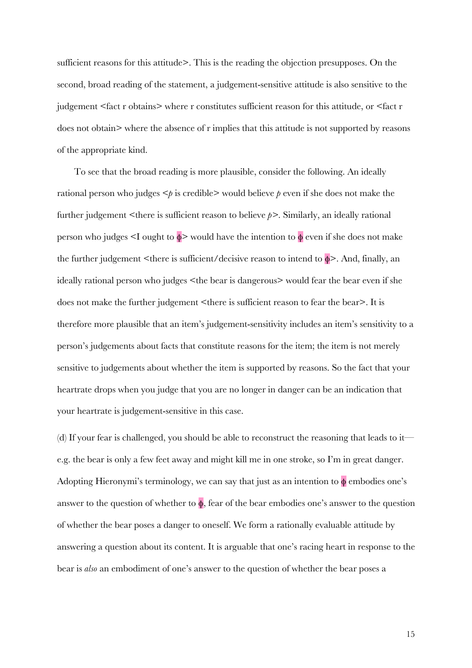sufficient reasons for this attitude>. This is the reading the objection presupposes. On the second, broad reading of the statement, a judgement-sensitive attitude is also sensitive to the judgement <fact r obtains> where r constitutes sufficient reason for this attitude, or <fact r does not obtain> where the absence of r implies that this attitude is not supported by reasons of the appropriate kind.

To see that the broad reading is more plausible, consider the following. An ideally rational person who judges  $\leq p$  is credible> would believe  $p$  even if she does not make the further judgement <there is sufficient reason to believe *p>*. Similarly, an ideally rational person who judges <I ought to φ> would have the intention to φ even if she does not make the further judgement  $\leq$ there is sufficient/decisive reason to intend to  $\phi$ >. And, finally, an ideally rational person who judges <the bear is dangerous> would fear the bear even if she does not make the further judgement <there is sufficient reason to fear the bear>. It is therefore more plausible that an item's judgement-sensitivity includes an item's sensitivity to a person's judgements about facts that constitute reasons for the item; the item is not merely sensitive to judgements about whether the item is supported by reasons. So the fact that your heartrate drops when you judge that you are no longer in danger can be an indication that your heartrate is judgement-sensitive in this case.

(d) If your fear is challenged, you should be able to reconstruct the reasoning that leads to it e.g. the bear is only a few feet away and might kill me in one stroke, so I'm in great danger. Adopting Hieronymi's terminology, we can say that just as an intention to  $\phi$  embodies one's answer to the question of whether to  $\phi$ , fear of the bear embodies one's answer to the question of whether the bear poses a danger to oneself. We form a rationally evaluable attitude by answering a question about its content. It is arguable that one's racing heart in response to the bear is *also* an embodiment of one's answer to the question of whether the bear poses a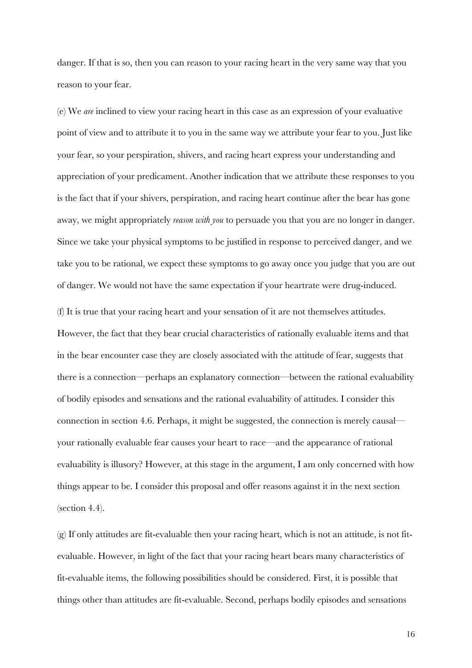danger. If that is so, then you can reason to your racing heart in the very same way that you reason to your fear.

(e) We *are* inclined to view your racing heart in this case as an expression of your evaluative point of view and to attribute it to you in the same way we attribute your fear to you. Just like your fear, so your perspiration, shivers, and racing heart express your understanding and appreciation of your predicament. Another indication that we attribute these responses to you is the fact that if your shivers, perspiration, and racing heart continue after the bear has gone away, we might appropriately *reason with you* to persuade you that you are no longer in danger. Since we take your physical symptoms to be justified in response to perceived danger, and we take you to be rational, we expect these symptoms to go away once you judge that you are out of danger. We would not have the same expectation if your heartrate were drug-induced.

(f) It is true that your racing heart and your sensation of it are not themselves attitudes. However, the fact that they bear crucial characteristics of rationally evaluable items and that in the bear encounter case they are closely associated with the attitude of fear, suggests that there is a connection—perhaps an explanatory connection—between the rational evaluability of bodily episodes and sensations and the rational evaluability of attitudes. I consider this connection in section 4.6. Perhaps, it might be suggested, the connection is merely causal your rationally evaluable fear causes your heart to race—and the appearance of rational evaluability is illusory? However, at this stage in the argument, I am only concerned with how things appear to be. I consider this proposal and offer reasons against it in the next section (section 4.4).

(g) If only attitudes are fit-evaluable then your racing heart, which is not an attitude, is not fitevaluable. However, in light of the fact that your racing heart bears many characteristics of fit-evaluable items, the following possibilities should be considered. First, it is possible that things other than attitudes are fit-evaluable. Second, perhaps bodily episodes and sensations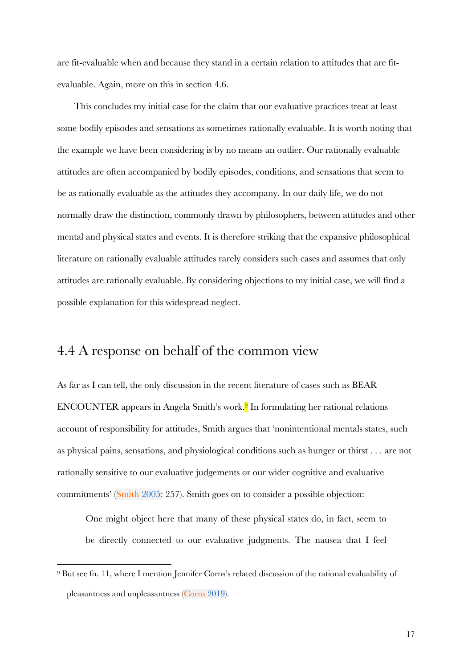are fit-evaluable when and because they stand in a certain relation to attitudes that are fitevaluable. Again, more on this in section 4.6.

This concludes my initial case for the claim that our evaluative practices treat at least some bodily episodes and sensations as sometimes rationally evaluable. It is worth noting that the example we have been considering is by no means an outlier. Our rationally evaluable attitudes are often accompanied by bodily episodes, conditions, and sensations that seem to be as rationally evaluable as the attitudes they accompany. In our daily life, we do not normally draw the distinction, commonly drawn by philosophers, between attitudes and other mental and physical states and events. It is therefore striking that the expansive philosophical literature on rationally evaluable attitudes rarely considers such cases and assumes that only attitudes are rationally evaluable. By considering objections to my initial case, we will find a possible explanation for this widespread neglect.

## 4.4 A response on behalf of the common view

As far as I can tell, the only discussion in the recent literature of cases such as BEAR ENCOUNTER appears in Angela Smith's work.9 In formulating her rational relations account of responsibility for attitudes, Smith argues that 'nonintentional mentals states, such as physical pains, sensations, and physiological conditions such as hunger or thirst . . . are not rationally sensitive to our evaluative judgements or our wider cognitive and evaluative commitments' (Smith 2005: 257). Smith goes on to consider a possible objection:

One might object here that many of these physical states do, in fact, seem to be directly connected to our evaluative judgments. The nausea that I feel

<sup>9</sup> But see fn. 11, where I mention Jennifer Corns's related discussion of the rational evaluability of pleasantness and unpleasantness (Corns 2019).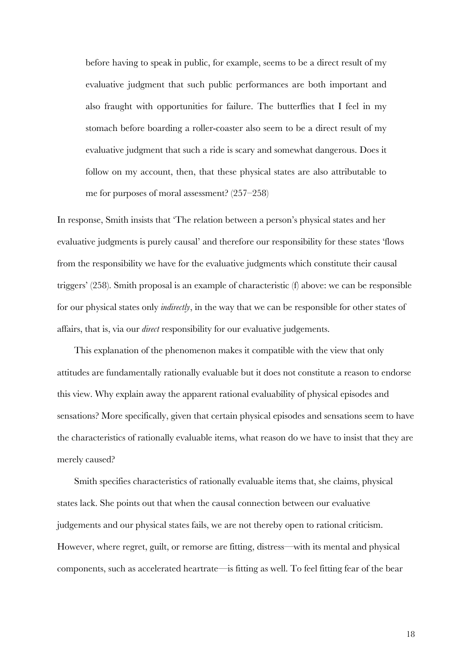before having to speak in public, for example, seems to be a direct result of my evaluative judgment that such public performances are both important and also fraught with opportunities for failure. The butterflies that I feel in my stomach before boarding a roller-coaster also seem to be a direct result of my evaluative judgment that such a ride is scary and somewhat dangerous. Does it follow on my account, then, that these physical states are also attributable to me for purposes of moral assessment? (257–258)

In response, Smith insists that 'The relation between a person's physical states and her evaluative judgments is purely causal' and therefore our responsibility for these states 'flows from the responsibility we have for the evaluative judgments which constitute their causal triggers' (258). Smith proposal is an example of characteristic (f) above: we can be responsible for our physical states only *indirectly*, in the way that we can be responsible for other states of affairs, that is, via our *direct* responsibility for our evaluative judgements.

This explanation of the phenomenon makes it compatible with the view that only attitudes are fundamentally rationally evaluable but it does not constitute a reason to endorse this view. Why explain away the apparent rational evaluability of physical episodes and sensations? More specifically, given that certain physical episodes and sensations seem to have the characteristics of rationally evaluable items, what reason do we have to insist that they are merely caused?

Smith specifies characteristics of rationally evaluable items that, she claims, physical states lack. She points out that when the causal connection between our evaluative judgements and our physical states fails, we are not thereby open to rational criticism. However, where regret, guilt, or remorse are fitting, distress—with its mental and physical components, such as accelerated heartrate—is fitting as well. To feel fitting fear of the bear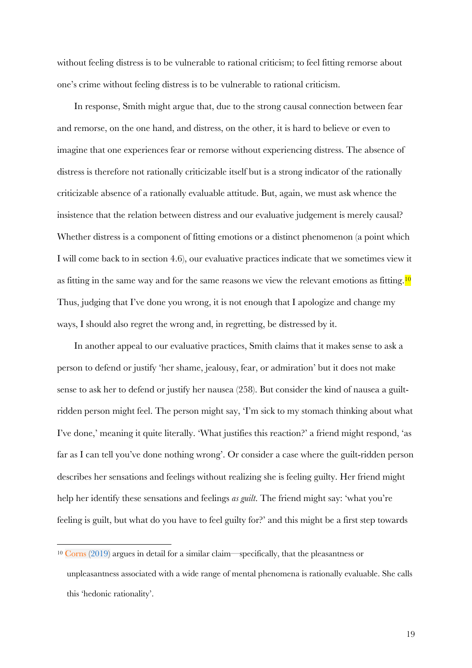without feeling distress is to be vulnerable to rational criticism; to feel fitting remorse about one's crime without feeling distress is to be vulnerable to rational criticism.

In response, Smith might argue that, due to the strong causal connection between fear and remorse, on the one hand, and distress, on the other, it is hard to believe or even to imagine that one experiences fear or remorse without experiencing distress. The absence of distress is therefore not rationally criticizable itself but is a strong indicator of the rationally criticizable absence of a rationally evaluable attitude. But, again, we must ask whence the insistence that the relation between distress and our evaluative judgement is merely causal? Whether distress is a component of fitting emotions or a distinct phenomenon (a point which I will come back to in section 4.6), our evaluative practices indicate that we sometimes view it as fitting in the same way and for the same reasons we view the relevant emotions as fitting.<sup>10</sup> Thus, judging that I've done you wrong, it is not enough that I apologize and change my ways, I should also regret the wrong and, in regretting, be distressed by it.

In another appeal to our evaluative practices, Smith claims that it makes sense to ask a person to defend or justify 'her shame, jealousy, fear, or admiration' but it does not make sense to ask her to defend or justify her nausea (258). But consider the kind of nausea a guiltridden person might feel. The person might say, 'I'm sick to my stomach thinking about what I've done,' meaning it quite literally. 'What justifies this reaction?' a friend might respond, 'as far as I can tell you've done nothing wrong'. Or consider a case where the guilt-ridden person describes her sensations and feelings without realizing she is feeling guilty. Her friend might help her identify these sensations and feelings *as guilt*. The friend might say: 'what you're feeling is guilt, but what do you have to feel guilty for?' and this might be a first step towards

<sup>10</sup> Corns (2019) argues in detail for a similar claim—specifically, that the pleasantness or unpleasantness associated with a wide range of mental phenomena is rationally evaluable. She calls this 'hedonic rationality'.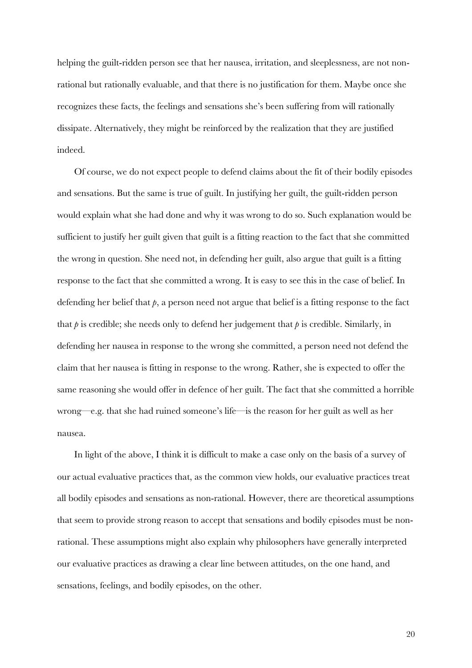helping the guilt-ridden person see that her nausea, irritation, and sleeplessness, are not nonrational but rationally evaluable, and that there is no justification for them. Maybe once she recognizes these facts, the feelings and sensations she's been suffering from will rationally dissipate. Alternatively, they might be reinforced by the realization that they are justified indeed.

Of course, we do not expect people to defend claims about the fit of their bodily episodes and sensations. But the same is true of guilt. In justifying her guilt, the guilt-ridden person would explain what she had done and why it was wrong to do so. Such explanation would be sufficient to justify her guilt given that guilt is a fitting reaction to the fact that she committed the wrong in question. She need not, in defending her guilt, also argue that guilt is a fitting response to the fact that she committed a wrong. It is easy to see this in the case of belief. In defending her belief that *p*, a person need not argue that belief is a fitting response to the fact that  $p$  is credible; she needs only to defend her judgement that  $p$  is credible. Similarly, in defending her nausea in response to the wrong she committed, a person need not defend the claim that her nausea is fitting in response to the wrong. Rather, she is expected to offer the same reasoning she would offer in defence of her guilt. The fact that she committed a horrible wrong—e.g. that she had ruined someone's life—is the reason for her guilt as well as her nausea.

In light of the above, I think it is difficult to make a case only on the basis of a survey of our actual evaluative practices that, as the common view holds, our evaluative practices treat all bodily episodes and sensations as non-rational. However, there are theoretical assumptions that seem to provide strong reason to accept that sensations and bodily episodes must be nonrational. These assumptions might also explain why philosophers have generally interpreted our evaluative practices as drawing a clear line between attitudes, on the one hand, and sensations, feelings, and bodily episodes, on the other.

20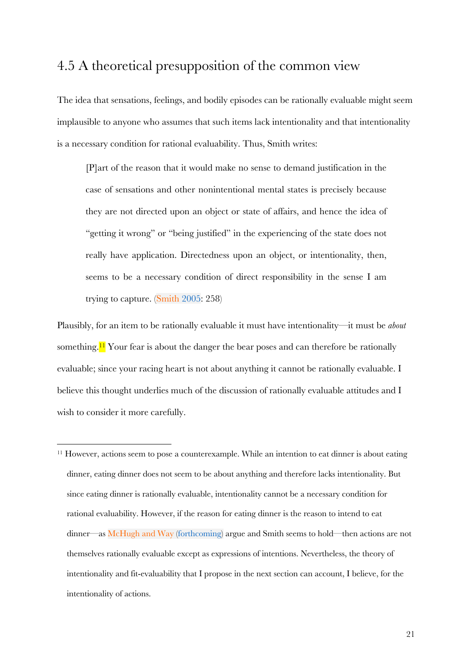# 4.5 A theoretical presupposition of the common view

The idea that sensations, feelings, and bodily episodes can be rationally evaluable might seem implausible to anyone who assumes that such items lack intentionality and that intentionality is a necessary condition for rational evaluability. Thus, Smith writes:

[P]art of the reason that it would make no sense to demand justification in the case of sensations and other nonintentional mental states is precisely because they are not directed upon an object or state of affairs, and hence the idea of "getting it wrong" or "being justified" in the experiencing of the state does not really have application. Directedness upon an object, or intentionality, then, seems to be a necessary condition of direct responsibility in the sense I am trying to capture. (Smith 2005: 258)

Plausibly, for an item to be rationally evaluable it must have intentionality—it must be *about*  something.<sup>11</sup> Your fear is about the danger the bear poses and can therefore be rationally evaluable; since your racing heart is not about anything it cannot be rationally evaluable. I believe this thought underlies much of the discussion of rationally evaluable attitudes and I wish to consider it more carefully.

<sup>&</sup>lt;sup>11</sup> However, actions seem to pose a counterexample. While an intention to eat dinner is about eating dinner, eating dinner does not seem to be about anything and therefore lacks intentionality. But since eating dinner is rationally evaluable, intentionality cannot be a necessary condition for rational evaluability. However, if the reason for eating dinner is the reason to intend to eat dinner—as McHugh and Way (forthcoming) argue and Smith seems to hold—then actions are not themselves rationally evaluable except as expressions of intentions. Nevertheless, the theory of intentionality and fit-evaluability that I propose in the next section can account, I believe, for the intentionality of actions.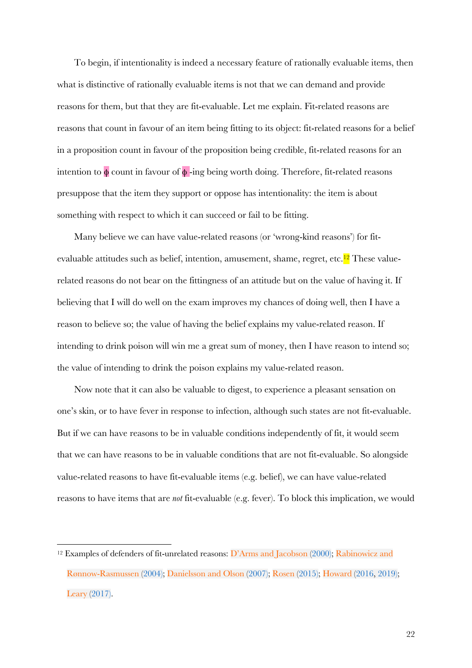To begin, if intentionality is indeed a necessary feature of rationally evaluable items, then what is distinctive of rationally evaluable items is not that we can demand and provide reasons for them, but that they are fit-evaluable. Let me explain. Fit-related reasons are reasons that count in favour of an item being fitting to its object: fit-related reasons for a belief in a proposition count in favour of the proposition being credible, fit-related reasons for an intention to  $\phi$  count in favour of  $\phi$ -ing being worth doing. Therefore, fit-related reasons presuppose that the item they support or oppose has intentionality: the item is about something with respect to which it can succeed or fail to be fitting.

Many believe we can have value-related reasons (or 'wrong-kind reasons') for fitevaluable attitudes such as belief, intention, amusement, shame, regret, etc.<sup>12</sup> These valuerelated reasons do not bear on the fittingness of an attitude but on the value of having it. If believing that I will do well on the exam improves my chances of doing well, then I have a reason to believe so; the value of having the belief explains my value-related reason. If intending to drink poison will win me a great sum of money, then I have reason to intend so; the value of intending to drink the poison explains my value-related reason.

Now note that it can also be valuable to digest, to experience a pleasant sensation on one's skin, or to have fever in response to infection, although such states are not fit-evaluable. But if we can have reasons to be in valuable conditions independently of fit, it would seem that we can have reasons to be in valuable conditions that are not fit-evaluable. So alongside value-related reasons to have fit-evaluable items (e.g. belief), we can have value-related reasons to have items that are *not* fit-evaluable (e.g. fever). To block this implication, we would

<sup>12</sup> Examples of defenders of fit-unrelated reasons: D'Arms and Jacobson (2000); Rabinowicz and Rønnow-Rasmussen (2004); Danielsson and Olson (2007); Rosen (2015); Howard (2016, 2019); Leary (2017).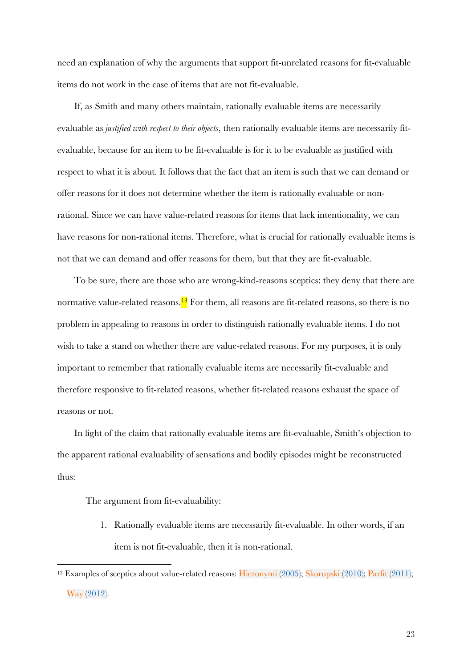need an explanation of why the arguments that support fit-unrelated reasons for fit-evaluable items do not work in the case of items that are not fit-evaluable.

If, as Smith and many others maintain, rationally evaluable items are necessarily evaluable as *justified with respect to their objects*, then rationally evaluable items are necessarily fitevaluable, because for an item to be fit-evaluable is for it to be evaluable as justified with respect to what it is about. It follows that the fact that an item is such that we can demand or offer reasons for it does not determine whether the item is rationally evaluable or nonrational. Since we can have value-related reasons for items that lack intentionality, we can have reasons for non-rational items. Therefore, what is crucial for rationally evaluable items is not that we can demand and offer reasons for them, but that they are fit-evaluable.

To be sure, there are those who are wrong-kind-reasons sceptics: they deny that there are normative value-related reasons.<sup>13</sup> For them, all reasons are fit-related reasons, so there is no problem in appealing to reasons in order to distinguish rationally evaluable items. I do not wish to take a stand on whether there are value-related reasons. For my purposes, it is only important to remember that rationally evaluable items are necessarily fit-evaluable and therefore responsive to fit-related reasons, whether fit-related reasons exhaust the space of reasons or not.

In light of the claim that rationally evaluable items are fit-evaluable, Smith's objection to the apparent rational evaluability of sensations and bodily episodes might be reconstructed thus:

The argument from fit-evaluability:

1. Rationally evaluable items are necessarily fit-evaluable. In other words, if an item is not fit-evaluable, then it is non-rational.

<sup>&</sup>lt;sup>13</sup> Examples of sceptics about value-related reasons: Hieronymi (2005); Skorupski (2010); Parfit (2011); Way (2012).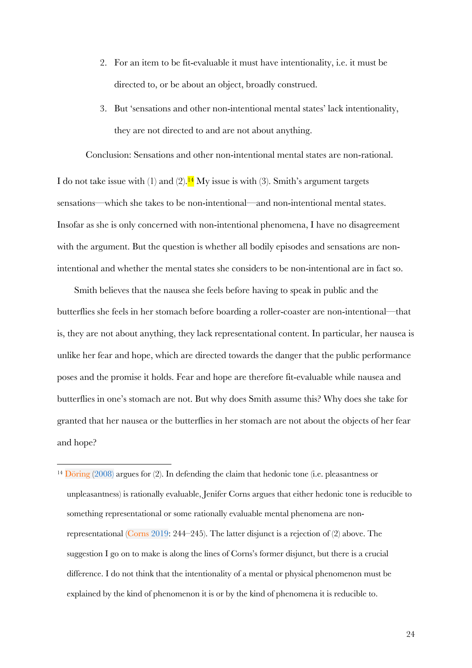- 2. For an item to be fit-evaluable it must have intentionality, i.e. it must be directed to, or be about an object, broadly construed.
- 3. But 'sensations and other non-intentional mental states' lack intentionality, they are not directed to and are not about anything.

Conclusion: Sensations and other non-intentional mental states are non-rational.

I do not take issue with (1) and (2).<sup>14</sup> My issue is with (3). Smith's argument targets sensations—which she takes to be non-intentional—and non-intentional mental states. Insofar as she is only concerned with non-intentional phenomena, I have no disagreement with the argument. But the question is whether all bodily episodes and sensations are nonintentional and whether the mental states she considers to be non-intentional are in fact so.

Smith believes that the nausea she feels before having to speak in public and the butterflies she feels in her stomach before boarding a roller-coaster are non-intentional—that is, they are not about anything, they lack representational content. In particular, her nausea is unlike her fear and hope, which are directed towards the danger that the public performance poses and the promise it holds. Fear and hope are therefore fit-evaluable while nausea and butterflies in one's stomach are not. But why does Smith assume this? Why does she take for granted that her nausea or the butterflies in her stomach are not about the objects of her fear and hope?

<sup>14</sup> Döring (2008) argues for (2). In defending the claim that hedonic tone (i.e. pleasantness or unpleasantness) is rationally evaluable, Jenifer Corns argues that either hedonic tone is reducible to something representational or some rationally evaluable mental phenomena are nonrepresentational (Corns 2019: 244–245). The latter disjunct is a rejection of (2) above. The suggestion I go on to make is along the lines of Corns's former disjunct, but there is a crucial difference. I do not think that the intentionality of a mental or physical phenomenon must be explained by the kind of phenomenon it is or by the kind of phenomena it is reducible to.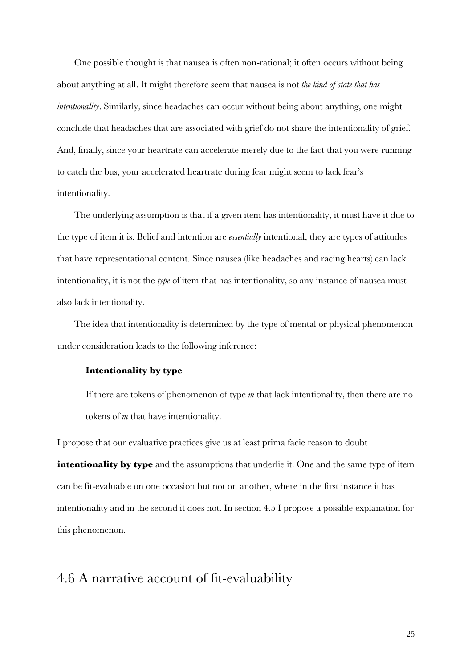One possible thought is that nausea is often non-rational; it often occurs without being about anything at all. It might therefore seem that nausea is not *the kind of state that has intentionality*. Similarly, since headaches can occur without being about anything, one might conclude that headaches that are associated with grief do not share the intentionality of grief. And, finally, since your heartrate can accelerate merely due to the fact that you were running to catch the bus, your accelerated heartrate during fear might seem to lack fear's intentionality.

The underlying assumption is that if a given item has intentionality, it must have it due to the type of item it is. Belief and intention are *essentially* intentional, they are types of attitudes that have representational content. Since nausea (like headaches and racing hearts) can lack intentionality, it is not the *type* of item that has intentionality, so any instance of nausea must also lack intentionality.

The idea that intentionality is determined by the type of mental or physical phenomenon under consideration leads to the following inference:

### **Intentionality by type**

If there are tokens of phenomenon of type *m* that lack intentionality, then there are no tokens of *m* that have intentionality.

I propose that our evaluative practices give us at least prima facie reason to doubt

**intentionality by type** and the assumptions that underlie it. One and the same type of item can be fit-evaluable on one occasion but not on another, where in the first instance it has intentionality and in the second it does not. In section 4.5 I propose a possible explanation for this phenomenon.

## 4.6 A narrative account of fit-evaluability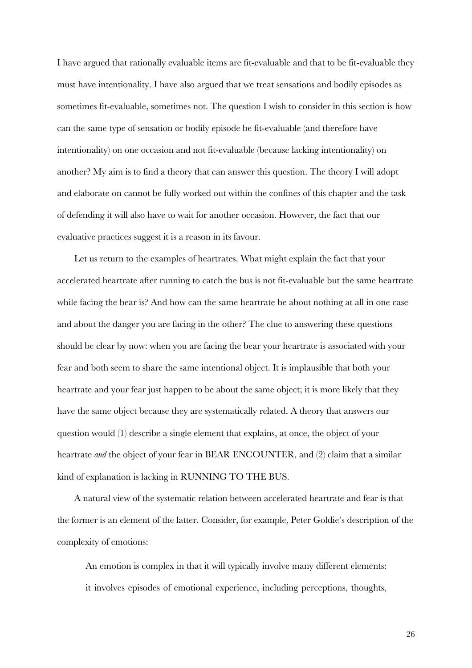I have argued that rationally evaluable items are fit-evaluable and that to be fit-evaluable they must have intentionality. I have also argued that we treat sensations and bodily episodes as sometimes fit-evaluable, sometimes not. The question I wish to consider in this section is how can the same type of sensation or bodily episode be fit-evaluable (and therefore have intentionality) on one occasion and not fit-evaluable (because lacking intentionality) on another? My aim is to find a theory that can answer this question. The theory I will adopt and elaborate on cannot be fully worked out within the confines of this chapter and the task of defending it will also have to wait for another occasion. However, the fact that our evaluative practices suggest it is a reason in its favour.

Let us return to the examples of heartrates. What might explain the fact that your accelerated heartrate after running to catch the bus is not fit-evaluable but the same heartrate while facing the bear is? And how can the same heartrate be about nothing at all in one case and about the danger you are facing in the other? The clue to answering these questions should be clear by now: when you are facing the bear your heartrate is associated with your fear and both seem to share the same intentional object. It is implausible that both your heartrate and your fear just happen to be about the same object; it is more likely that they have the same object because they are systematically related. A theory that answers our question would (1) describe a single element that explains, at once, the object of your heartrate *and* the object of your fear in BEAR ENCOUNTER, and (2) claim that a similar kind of explanation is lacking in RUNNING TO THE BUS.

A natural view of the systematic relation between accelerated heartrate and fear is that the former is an element of the latter. Consider, for example, Peter Goldie's description of the complexity of emotions:

An emotion is complex in that it will typically involve many different elements: it involves episodes of emotional experience, including perceptions, thoughts,

26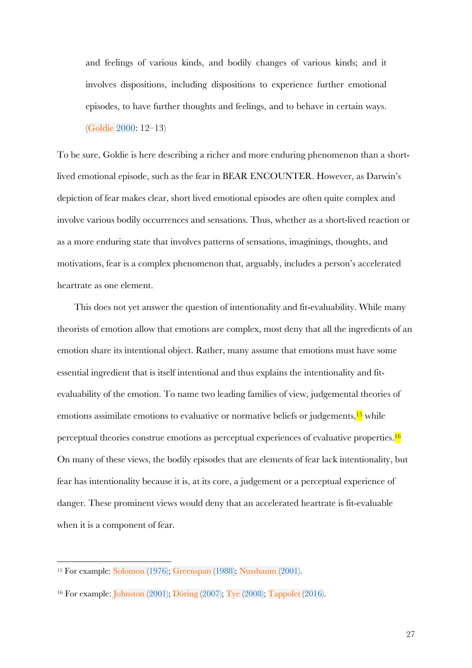and feelings of various kinds, and bodily changes of various kinds; and it involves dispositions, including dispositions to experience further emotional episodes, to have further thoughts and feelings, and to behave in certain ways. (Goldie 2000: 12–13)

To be sure, Goldie is here describing a richer and more enduring phenomenon than a shortlived emotional episode, such as the fear in BEAR ENCOUNTER. However, as Darwin's depiction of fear makes clear, short lived emotional episodes are often quite complex and involve various bodily occurrences and sensations. Thus, whether as a short-lived reaction or as a more enduring state that involves patterns of sensations, imaginings, thoughts, and motivations, fear is a complex phenomenon that, arguably, includes a person's accelerated heartrate as one element.

This does not yet answer the question of intentionality and fit-evaluability. While many theorists of emotion allow that emotions are complex, most deny that all the ingredients of an emotion share its intentional object. Rather, many assume that emotions must have some essential ingredient that is itself intentional and thus explains the intentionality and fitevaluability of the emotion. To name two leading families of view, judgemental theories of emotions assimilate emotions to evaluative or normative beliefs or judgements,<sup>15</sup> while perceptual theories construe emotions as perceptual experiences of evaluative properties.16 On many of these views, the bodily episodes that are elements of fear lack intentionality, but fear has intentionality because it is, at its core, a judgement or a perceptual experience of danger. These prominent views would deny that an accelerated heartrate is fit-evaluable when it is a component of fear.

<sup>15</sup> For example: Solomon (1976); Greenspan (1988); Nussbaum (2001).

<sup>16</sup> For example: Johnston (2001); Döring (2007); Tye (2008); Tappolet (2016).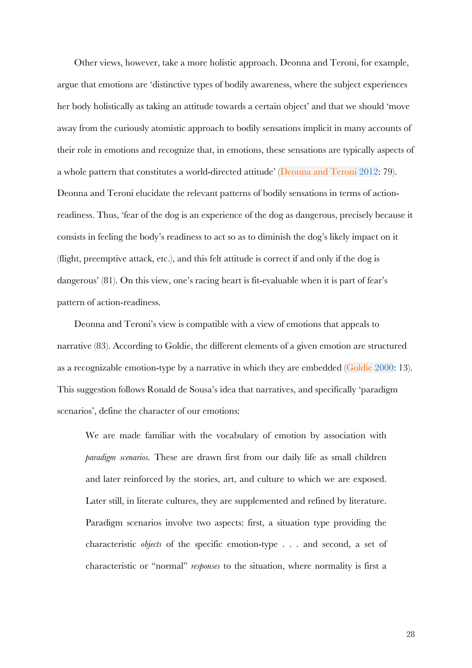Other views, however, take a more holistic approach. Deonna and Teroni, for example, argue that emotions are 'distinctive types of bodily awareness, where the subject experiences her body holistically as taking an attitude towards a certain object' and that we should 'move away from the curiously atomistic approach to bodily sensations implicit in many accounts of their role in emotions and recognize that, in emotions, these sensations are typically aspects of a whole pattern that constitutes a world-directed attitude' (Deonna and Teroni 2012: 79). Deonna and Teroni elucidate the relevant patterns of bodily sensations in terms of actionreadiness. Thus, 'fear of the dog is an experience of the dog as dangerous, precisely because it consists in feeling the body's readiness to act so as to diminish the dog's likely impact on it (flight, preemptive attack, etc.), and this felt attitude is correct if and only if the dog is dangerous' (81). On this view, one's racing heart is fit-evaluable when it is part of fear's pattern of action-readiness.

Deonna and Teroni's view is compatible with a view of emotions that appeals to narrative (83). According to Goldie, the different elements of a given emotion are structured as a recognizable emotion-type by a narrative in which they are embedded (Goldie 2000: 13). This suggestion follows Ronald de Sousa's idea that narratives, and specifically 'paradigm scenarios', define the character of our emotions:

We are made familiar with the vocabulary of emotion by association with *paradigm scenarios.* These are drawn first from our daily life as small children and later reinforced by the stories, art, and culture to which we are exposed. Later still, in literate cultures, they are supplemented and refined by literature. Paradigm scenarios involve two aspects: first, a situation type providing the characteristic *objects* of the specific emotion-type . . . and second, a set of characteristic or "normal" *responses* to the situation, where normality is first a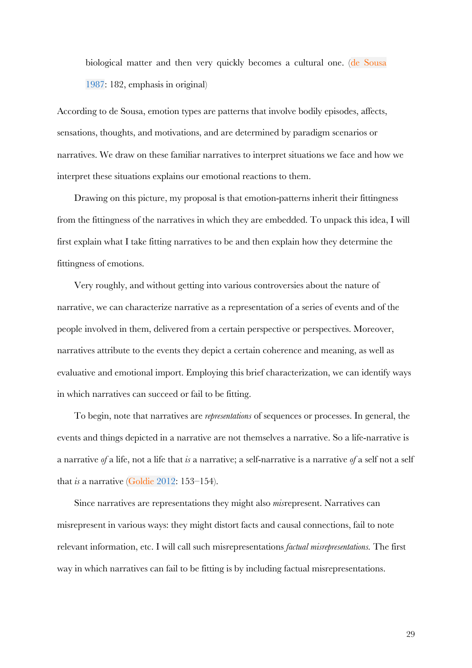biological matter and then very quickly becomes a cultural one. (de Sousa 1987: 182, emphasis in original)

According to de Sousa, emotion types are patterns that involve bodily episodes, affects, sensations, thoughts, and motivations, and are determined by paradigm scenarios or narratives. We draw on these familiar narratives to interpret situations we face and how we interpret these situations explains our emotional reactions to them.

Drawing on this picture, my proposal is that emotion-patterns inherit their fittingness from the fittingness of the narratives in which they are embedded. To unpack this idea, I will first explain what I take fitting narratives to be and then explain how they determine the fittingness of emotions.

Very roughly, and without getting into various controversies about the nature of narrative, we can characterize narrative as a representation of a series of events and of the people involved in them, delivered from a certain perspective or perspectives. Moreover, narratives attribute to the events they depict a certain coherence and meaning, as well as evaluative and emotional import. Employing this brief characterization, we can identify ways in which narratives can succeed or fail to be fitting.

To begin, note that narratives are *representations* of sequences or processes. In general, the events and things depicted in a narrative are not themselves a narrative. So a life-narrative is a narrative *of* a life, not a life that *is* a narrative; a self-narrative is a narrative *of* a self not a self that *is* a narrative (Goldie 2012: 153–154).

Since narratives are representations they might also *mis*represent. Narratives can misrepresent in various ways: they might distort facts and causal connections, fail to note relevant information, etc. I will call such misrepresentations *factual misrepresentations.* The first way in which narratives can fail to be fitting is by including factual misrepresentations.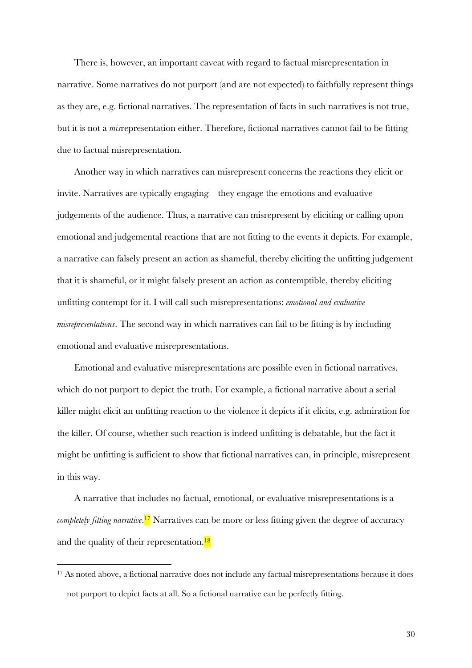There is, however, an important caveat with regard to factual misrepresentation in narrative. Some narratives do not purport (and are not expected) to faithfully represent things as they are, e.g. fictional narratives. The representation of facts in such narratives is not true, but it is not a *mis*representation either. Therefore, fictional narratives cannot fail to be fitting due to factual misrepresentation.

Another way in which narratives can misrepresent concerns the reactions they elicit or invite. Narratives are typically engaging—they engage the emotions and evaluative judgements of the audience. Thus, a narrative can misrepresent by eliciting or calling upon emotional and judgemental reactions that are not fitting to the events it depicts. For example, a narrative can falsely present an action as shameful, thereby eliciting the unfitting judgement that it is shameful, or it might falsely present an action as contemptible, thereby eliciting unfitting contempt for it. I will call such misrepresentations: *emotional and evaluative misrepresentations*. The second way in which narratives can fail to be fitting is by including emotional and evaluative misrepresentations.

Emotional and evaluative misrepresentations are possible even in fictional narratives, which do not purport to depict the truth. For example, a fictional narrative about a serial killer might elicit an unfitting reaction to the violence it depicts if it elicits, e.g. admiration for the killer. Of course, whether such reaction is indeed unfitting is debatable, but the fact it might be unfitting is sufficient to show that fictional narratives can, in principle, misrepresent in this way.

A narrative that includes no factual, emotional, or evaluative misrepresentations is a *completely fitting narrative*. <sup>17</sup> Narratives can be more or less fitting given the degree of accuracy and the quality of their representation. $^{18}$ 

30

<sup>17</sup> As noted above, a fictional narrative does not include any factual misrepresentations because it does not purport to depict facts at all. So a fictional narrative can be perfectly fitting.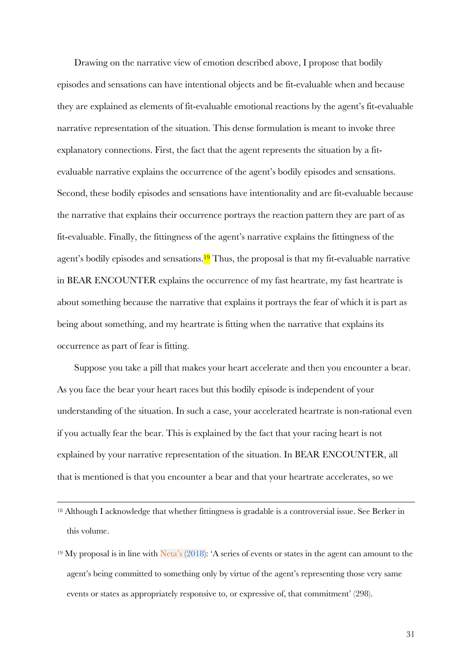Drawing on the narrative view of emotion described above, I propose that bodily episodes and sensations can have intentional objects and be fit-evaluable when and because they are explained as elements of fit-evaluable emotional reactions by the agent's fit-evaluable narrative representation of the situation. This dense formulation is meant to invoke three explanatory connections. First, the fact that the agent represents the situation by a fitevaluable narrative explains the occurrence of the agent's bodily episodes and sensations. Second, these bodily episodes and sensations have intentionality and are fit-evaluable because the narrative that explains their occurrence portrays the reaction pattern they are part of as fit-evaluable. Finally, the fittingness of the agent's narrative explains the fittingness of the agent's bodily episodes and sensations.<sup>19</sup> Thus, the proposal is that my fit-evaluable narrative in BEAR ENCOUNTER explains the occurrence of my fast heartrate, my fast heartrate is about something because the narrative that explains it portrays the fear of which it is part as being about something, and my heartrate is fitting when the narrative that explains its occurrence as part of fear is fitting.

Suppose you take a pill that makes your heart accelerate and then you encounter a bear. As you face the bear your heart races but this bodily episode is independent of your understanding of the situation. In such a case, your accelerated heartrate is non-rational even if you actually fear the bear. This is explained by the fact that your racing heart is not explained by your narrative representation of the situation. In BEAR ENCOUNTER, all that is mentioned is that you encounter a bear and that your heartrate accelerates, so we

<sup>18</sup> Although I acknowledge that whether fittingness is gradable is a controversial issue. See Berker in this volume.

<sup>19</sup> My proposal is in line with Neta's (2018): 'A series of events or states in the agent can amount to the agent's being committed to something only by virtue of the agent's representing those very same events or states as appropriately responsive to, or expressive of, that commitment' (298).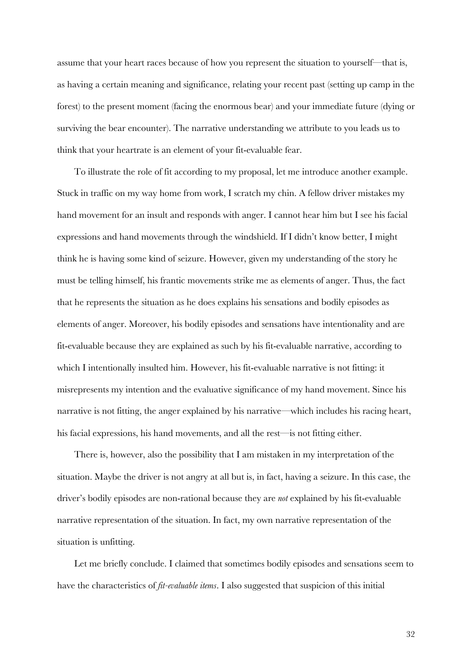assume that your heart races because of how you represent the situation to yourself—that is, as having a certain meaning and significance, relating your recent past (setting up camp in the forest) to the present moment (facing the enormous bear) and your immediate future (dying or surviving the bear encounter). The narrative understanding we attribute to you leads us to think that your heartrate is an element of your fit-evaluable fear.

To illustrate the role of fit according to my proposal, let me introduce another example. Stuck in traffic on my way home from work, I scratch my chin. A fellow driver mistakes my hand movement for an insult and responds with anger. I cannot hear him but I see his facial expressions and hand movements through the windshield. If I didn't know better, I might think he is having some kind of seizure. However, given my understanding of the story he must be telling himself, his frantic movements strike me as elements of anger. Thus, the fact that he represents the situation as he does explains his sensations and bodily episodes as elements of anger. Moreover, his bodily episodes and sensations have intentionality and are fit-evaluable because they are explained as such by his fit-evaluable narrative, according to which I intentionally insulted him. However, his fit-evaluable narrative is not fitting: it misrepresents my intention and the evaluative significance of my hand movement. Since his narrative is not fitting, the anger explained by his narrative—which includes his racing heart, his facial expressions, his hand movements, and all the rest—is not fitting either.

There is, however, also the possibility that I am mistaken in my interpretation of the situation. Maybe the driver is not angry at all but is, in fact, having a seizure. In this case, the driver's bodily episodes are non-rational because they are *not* explained by his fit-evaluable narrative representation of the situation. In fact, my own narrative representation of the situation is unfitting.

Let me briefly conclude. I claimed that sometimes bodily episodes and sensations seem to have the characteristics of *fit-evaluable items*. I also suggested that suspicion of this initial

32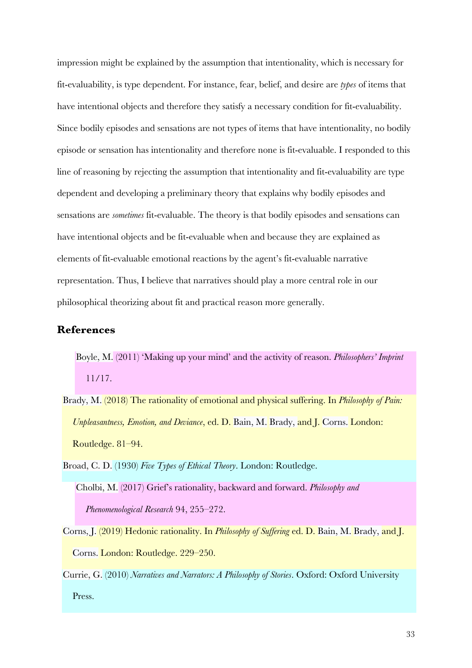impression might be explained by the assumption that intentionality, which is necessary for fit-evaluability, is type dependent. For instance, fear, belief, and desire are *types* of items that have intentional objects and therefore they satisfy a necessary condition for fit-evaluability. Since bodily episodes and sensations are not types of items that have intentionality, no bodily episode or sensation has intentionality and therefore none is fit-evaluable. I responded to this line of reasoning by rejecting the assumption that intentionality and fit-evaluability are type dependent and developing a preliminary theory that explains why bodily episodes and sensations are *sometimes* fit-evaluable. The theory is that bodily episodes and sensations can have intentional objects and be fit-evaluable when and because they are explained as elements of fit-evaluable emotional reactions by the agent's fit-evaluable narrative representation. Thus, I believe that narratives should play a more central role in our philosophical theorizing about fit and practical reason more generally.

### **References**

- Boyle, M. (2011) 'Making up your mind' and the activity of reason. *Philosophers' Imprint* 11/17.
- Brady, M. (2018) The rationality of emotional and physical suffering. In *Philosophy of Pain: Unpleasantness, Emotion, and Deviance*, ed. D. Bain, M. Brady, and J. Corns. London: Routledge. 81–94.
- Broad, C. D. (1930) *Five Types of Ethical Theory*. London: Routledge. Cholbi, M. (2017) Grief's rationality, backward and forward. *Philosophy and Phenomenological Research* 94, 255–272.
- Corns, J. (2019) Hedonic rationality. In *Philosophy of Suffering* ed. D. Bain, M. Brady, and J. Corns. London: Routledge. 229–250.
- Currie, G. (2010) *Narratives and Narrators: A Philosophy of Stories*. Oxford: Oxford University Press.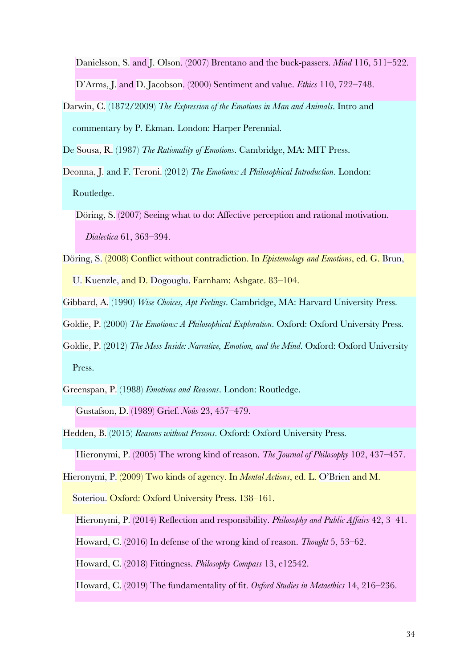Danielsson, S. and J. Olson. (2007) Brentano and the buck-passers. *Mind* 116, 511–522. D'Arms, J. and D. Jacobson. (2000) Sentiment and value. *Ethics* 110, 722–748.

Darwin, C. (1872/2009) *The Expression of the Emotions in Man and Animals*. Intro and commentary by P. Ekman. London: Harper Perennial.

De Sousa, R. (1987) *The Rationality of Emotions*. Cambridge, MA: MIT Press.

Deonna, J. and F. Teroni. (2012) *The Emotions: A Philosophical Introduction*. London: Routledge.

Döring, S. (2007) Seeing what to do: Affective perception and rational motivation. *Dialectica* 61, 363–394.

- Döring, S. (2008) Conflict without contradiction. In *Epistemology and Emotions*, ed. G. Brun, U. Kuenzle, and D. Dogouglu. Farnham: Ashgate. 83–104.
- Gibbard, A. (1990) *Wise Choices, Apt Feelings*. Cambridge, MA: Harvard University Press.
- Goldie, P. (2000) *The Emotions: A Philosophical Exploration*. Oxford: Oxford University Press.
- Goldie, P. (2012) *The Mess Inside: Narrative, Emotion, and the Mind*. Oxford: Oxford University Press.
- Greenspan, P. (1988) *Emotions and Reasons*. London: Routledge. Gustafson, D. (1989) Grief. *Noûs* 23, 457–479.
- Hedden, B. (2015) *Reasons without Persons*. Oxford: Oxford University Press. Hieronymi, P. (2005) The wrong kind of reason. *The Journal of Philosophy* 102, 437–457.
- 

Hieronymi, P. (2009) Two kinds of agency. In *Mental Actions*, ed. L. O'Brien and M.

Soteriou. Oxford: Oxford University Press. 138-161.

Hieronymi, P. (2014) Reflection and responsibility. *Philosophy and Public Affairs* 42, 3–41.

Howard, C. (2016) In defense of the wrong kind of reason. *Thought* 5, 53–62.

Howard, C. (2018) Fittingness. *Philosophy Compass* 13, e12542.

Howard, C. (2019) The fundamentality of fit. *Oxford Studies in Metaethics* 14, 216–236.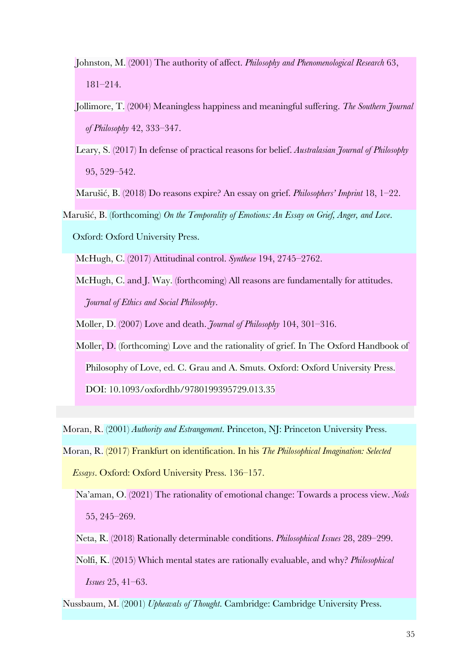- Johnston, M. (2001) The authority of affect. *Philosophy and Phenomenological Research* 63, 181–214.
- Jollimore, T. (2004) Meaningless happiness and meaningful suffering. *The Southern Journal of Philosophy* 42, 333–347.
- Leary, S. (2017) In defense of practical reasons for belief. *Australasian Journal of Philosophy* 95, 529–542.

Marušić, B. (2018) Do reasons expire? An essay on grief. *Philosophers' Imprint* 18, 1–22.

Marušić, B. (forthcoming) *On the Temporality of Emotions: An Essay on Grief, Anger, and Love*. Oxford: Oxford University Press.

McHugh, C. (2017) Attitudinal control. *Synthese* 194, 2745–2762.

McHugh, C. and J. Way. (forthcoming) All reasons are fundamentally for attitudes. *Journal of Ethics and Social Philosophy*.

Moller, D. (2007) Love and death. *Journal of Philosophy* 104, 301–316.

Moller, D. (forthcoming) Love and the rationality of grief. In The Oxford Handbook of Philosophy of Love, ed. C. Grau and A. Smuts. Oxford: Oxford University Press. DOI: 10.1093/oxfordhb/9780199395729.013.35

Moran, R. (2001) *Authority and Estrangement*. Princeton, NJ: Princeton University Press.

Moran, R. (2017) Frankfurt on identification. In his *The Philosophical Imagination: Selected Essays*. Oxford: Oxford University Press. 136–157.

Na'aman, O. (2021) The rationality of emotional change: Towards a process view. *Noûs* 55, 245–269.

Neta, R. (2018) Rationally determinable conditions. *Philosophical Issues* 28, 289–299.

Nolfi, K. (2015) Which mental states are rationally evaluable, and why? *Philosophical Issues* 25, 41–63.

Nussbaum, M. (2001) *Upheavals of Thought*. Cambridge: Cambridge University Press.